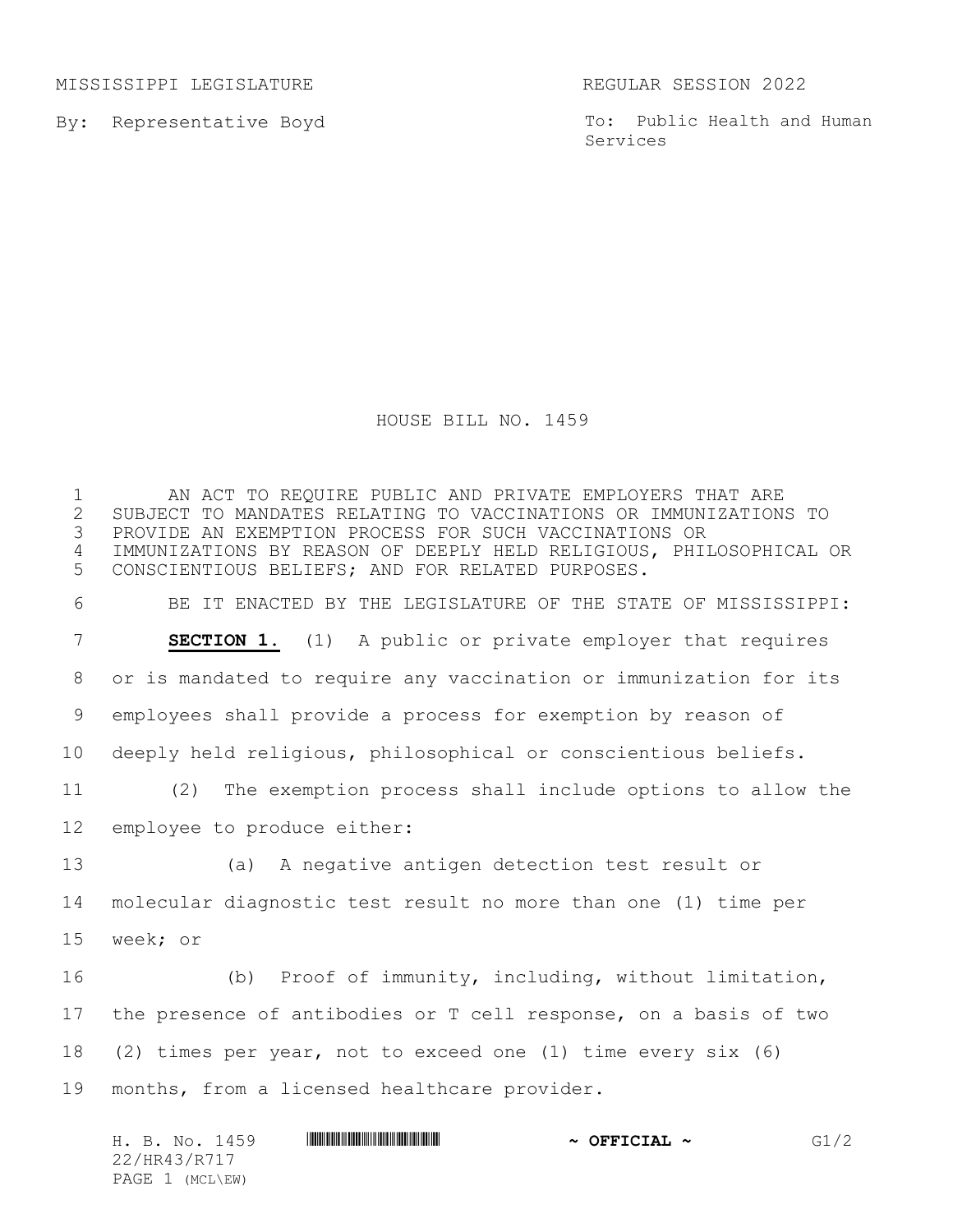MISSISSIPPI LEGISLATURE **REGULAR SESSION 2022** 

By: Representative Boyd

To: Public Health and Human Services

## HOUSE BILL NO. 1459

 AN ACT TO REQUIRE PUBLIC AND PRIVATE EMPLOYERS THAT ARE 2 SUBJECT TO MANDATES RELATING TO VACCINATIONS OR IMMUNIZATIONS TO<br>3 PROVIDE AN EXEMPTION PROCESS FOR SUCH VACCINATIONS OR PROVIDE AN EXEMPTION PROCESS FOR SUCH VACCINATIONS OR IMMUNIZATIONS BY REASON OF DEEPLY HELD RELIGIOUS, PHILOSOPHICAL OR CONSCIENTIOUS BELIEFS; AND FOR RELATED PURPOSES. BE IT ENACTED BY THE LEGISLATURE OF THE STATE OF MISSISSIPPI: **SECTION 1.** (1) A public or private employer that requires or is mandated to require any vaccination or immunization for its employees shall provide a process for exemption by reason of deeply held religious, philosophical or conscientious beliefs. (2) The exemption process shall include options to allow the employee to produce either: (a) A negative antigen detection test result or molecular diagnostic test result no more than one (1) time per week; or (b) Proof of immunity, including, without limitation, the presence of antibodies or T cell response, on a basis of two (2) times per year, not to exceed one (1) time every six (6) months, from a licensed healthcare provider.

|                 | H. B. No. 1459 | <u> I III III III III III III III II III II III III III III III III III III III III III III III III III III III</u> | $\sim$ OFFICIAL $\sim$ | G1/2 |
|-----------------|----------------|---------------------------------------------------------------------------------------------------------------------|------------------------|------|
| 22/HR43/R717    |                |                                                                                                                     |                        |      |
| PAGE 1 (MCL\EW) |                |                                                                                                                     |                        |      |